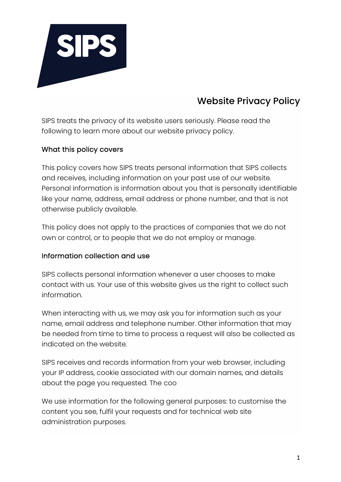

# Website Privacy Policy

SIPS treats the privacy of its website users seriously. Please read the following to learn more about our website privacy policy.

# What this policy covers

This policy covers how SIPS treats personal information that SIPS collects and receives, including information on your past use of our website. Personal information is information about you that is personally identifiable like your name, address, email address or phone number, and that is not otherwise publicly available.

This policy does not apply to the practices of companies that we do not own or control, or to people that we do not employ or manage.

## Information collection and use

SIPS collects personal information whenever a user chooses to make contact with us. Your use of this website gives us the right to collect such information.

When interacting with us, we may ask you for information such as your name, email address and telephone number. Other information that may be needed from time to time to process a request will also be collected as indicated on the website.

SIPS receives and records information from your web browser, including your IP address, cookie associated with our domain names, and details about the page you requested. The coo

We use information for the following general purposes: to customise the content you see, fulfil your requests and for technical web site administration purposes.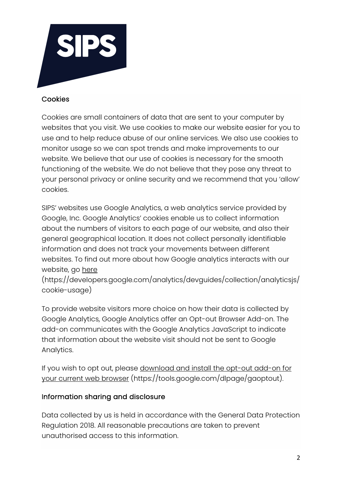

#### Cookies

Cookies are small containers of data that are sent to your computer by websites that you visit. We use cookies to make our website easier for you to use and to help reduce abuse of our online services. We also use cookies to monitor usage so we can spot trends and make improvements to our website. We believe that our use of cookies is necessary for the smooth functioning of the website. We do not believe that they pose any threat to your personal privacy or online security and we recommend that you 'allow' cookies.

SIPS' websites use Google Analytics, a web analytics service provided by Google, Inc. Google Analytics' cookies enable us to collect information about the numbers of visitors to each page of our website, and also their general geographical location. It does not collect personally identifiable information and does not track your movements between different websites. To find out more about how Google analytics interacts with our website, go here

(https://developers.google.com/analytics/devguides/collection/analyticsjs/ cookie-usage)

To provide website visitors more choice on how their data is collected by Google Analytics, Google Analytics offer an Opt-out Browser Add-on. The add-on communicates with the Google Analytics JavaScript to indicate that information about the website visit should not be sent to Google Analytics.

If you wish to opt out, please download and install the opt-out add-on for your current web browser (https://tools.google.com/dlpage/gaoptout).

## Information sharing and disclosure

Data collected by us is held in accordance with the General Data Protection Regulation 2018. All reasonable precautions are taken to prevent unauthorised access to this information.